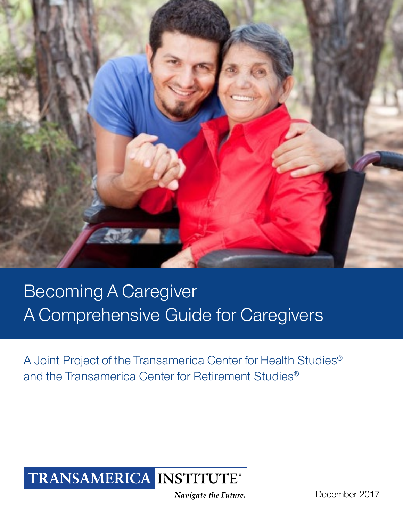

# Becoming A Caregiver A Comprehensive Guide for Caregivers

A Joint Project of the Transamerica Center for Health Studies® and the Transamerica Center for Retirement Studies®

## TRANSAMERICA INSTITUTE®

Navigate the Future.

December 2017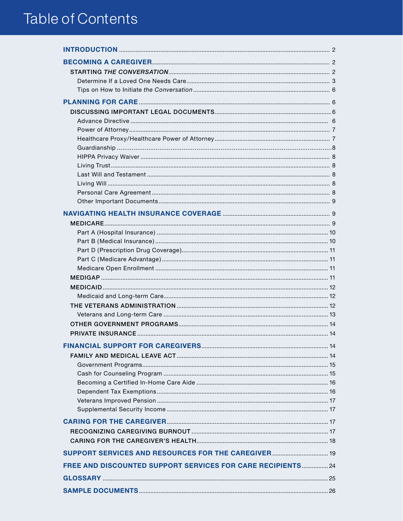## Table of Contents

| SUPPORT SERVICES AND RESOURCES FOR THE CAREGIVER  19        |  |
|-------------------------------------------------------------|--|
|                                                             |  |
| FREE AND DISCOUNTED SUPPORT SERVICES FOR CARE RECIPIENTS 24 |  |
|                                                             |  |
|                                                             |  |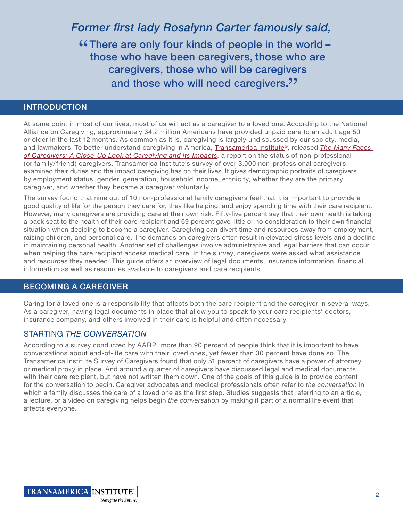*Former first lady Rosalynn Carter famously said,* " There are only four kinds of people in the world – those who have been caregivers, those who are caregivers, those who will be caregivers and those who will need caregivers."

## INTRODUCTION

At some point in most of our lives, most of us will act as a caregiver to a loved one. According to the National Alliance on Caregiving, approximately 34.2 million Americans have provided unpaid care to an adult age 50 or older in the last 12 months. As common as it is, caregiving is largely undiscussed by our society, media, and lawmakers. To better understand caregiving in America, [Transamerica Institute®](https://www.transamericainstitute.org/), released *[The Many Faces](https://www.transamericainstitute.org/caregivers-research)  [of Caregivers: A Close-Up Look at Caregiving and its Impacts](https://www.transamericainstitute.org/caregivers-research)*, a report on the status of non-professional (or family/friend) caregivers. Transamerica Institute's survey of over 3,000 non-professional caregivers examined their duties and the impact caregiving has on their lives. It gives demographic portraits of caregivers by employment status, gender, generation, household income, ethnicity, whether they are the primary caregiver, and whether they became a caregiver voluntarily.

The survey found that nine out of 10 non-professional family caregivers feel that it is important to provide a good quality of life for the person they care for, they like helping, and enjoy spending time with their care recipient. However, many caregivers are providing care at their own risk. Fifty-five percent say that their own health is taking a back seat to the health of their care recipient and 69 percent gave little or no consideration to their own financial situation when deciding to become a caregiver. Caregiving can divert time and resources away from employment, raising children, and personal care. The demands on caregivers often result in elevated stress levels and a decline in maintaining personal health. Another set of challenges involve administrative and legal barriers that can occur when helping the care recipient access medical care. In the survey, caregivers were asked what assistance and resources they needed. This guide offers an overview of legal documents, insurance information, financial information as well as resources available to caregivers and care recipients.

## BECOMING A CAREGIVER

Caring for a loved one is a responsibility that affects both the care recipient and the caregiver in several ways. As a caregiver, having legal documents in place that allow you to speak to your care recipients' doctors, insurance company, and others involved in their care is helpful and often necessary.

## STARTING *THE CONVERSATION*

According to a survey conducted by AARP, more than 90 percent of people think that it is important to have conversations about end-of-life care with their loved ones, yet fewer than 30 percent have done so. The Transamerica Institute Survey of Caregivers found that only 51 percent of caregivers have a power of attorney or medical proxy in place. And around a quarter of caregivers have discussed legal and medical documents with their care recipient, but have not written them down. One of the goals of this guide is to provide content for the conversation to begin. Caregiver advocates and medical professionals often refer to *the conversation* in which a family discusses the care of a loved one as the first step. Studies suggests that referring to an article, a lecture, or a video on caregiving helps begin *the conversation* by making it part of a normal life event that affects everyone.

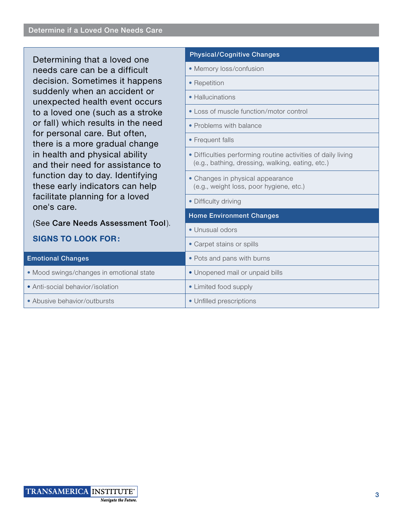| Determining that a loved one<br>needs care can be a difficult                                                                                                                               | <b>Physical/Cognitive Changes</b>                                                                                |
|---------------------------------------------------------------------------------------------------------------------------------------------------------------------------------------------|------------------------------------------------------------------------------------------------------------------|
|                                                                                                                                                                                             | • Memory loss/confusion                                                                                          |
| decision. Sometimes it happens                                                                                                                                                              | • Repetition                                                                                                     |
| suddenly when an accident or<br>unexpected health event occurs                                                                                                                              | • Hallucinations                                                                                                 |
| to a loved one (such as a stroke                                                                                                                                                            | • Loss of muscle function/motor control                                                                          |
| or fall) which results in the need                                                                                                                                                          | • Problems with balance                                                                                          |
| for personal care. But often,<br>there is a more gradual change                                                                                                                             | • Frequent falls                                                                                                 |
| in health and physical ability<br>and their need for assistance to<br>function day to day. Identifying<br>these early indicators can help<br>facilitate planning for a loved<br>one's care. | • Difficulties performing routine activities of daily living<br>(e.g., bathing, dressing, walking, eating, etc.) |
|                                                                                                                                                                                             | • Changes in physical appearance<br>(e.g., weight loss, poor hygiene, etc.)                                      |
|                                                                                                                                                                                             | • Difficulty driving                                                                                             |
|                                                                                                                                                                                             | <b>Home Environment Changes</b>                                                                                  |
| (See Care Needs Assessment Tool).                                                                                                                                                           | • Unusual odors                                                                                                  |
| <b>SIGNS TO LOOK FOR:</b>                                                                                                                                                                   | • Carpet stains or spills                                                                                        |
| <b>Emotional Changes</b>                                                                                                                                                                    | • Pots and pans with burns                                                                                       |
| · Mood swings/changes in emotional state                                                                                                                                                    | • Unopened mail or unpaid bills                                                                                  |
| · Anti-social behavior/isolation                                                                                                                                                            | • Limited food supply                                                                                            |
| • Abusive behavior/outbursts                                                                                                                                                                | • Unfilled prescriptions                                                                                         |

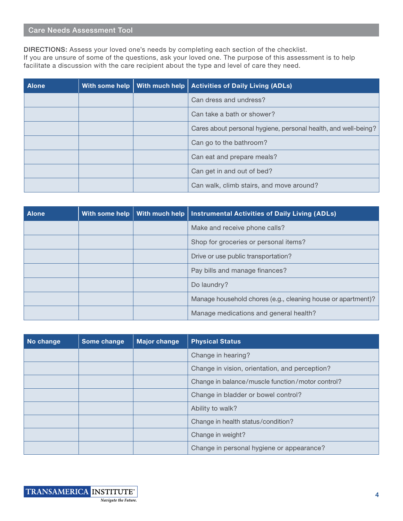## Care Needs Assessment Tool

DIRECTIONS: Assess your loved one's needs by completing each section of the checklist. If you are unsure of some of the questions, ask your loved one. The purpose of this assessment is to help facilitate a discussion with the care recipient about the type and level of care they need.

| <b>Alone</b> | With some help | <b>With much help   Activities of Daily Living (ADLs)</b>      |
|--------------|----------------|----------------------------------------------------------------|
|              |                | Can dress and undress?                                         |
|              |                | Can take a bath or shower?                                     |
|              |                | Cares about personal hygiene, personal health, and well-being? |
|              |                | Can go to the bathroom?                                        |
|              |                | Can eat and prepare meals?                                     |
|              |                | Can get in and out of bed?                                     |
|              |                | Can walk, climb stairs, and move around?                       |

| <b>Alone</b> | With some help | With much help   Instrumental Activities of Daily Living (ADLs) |
|--------------|----------------|-----------------------------------------------------------------|
|              |                | Make and receive phone calls?                                   |
|              |                | Shop for groceries or personal items?                           |
|              |                | Drive or use public transportation?                             |
|              |                | Pay bills and manage finances?                                  |
|              |                | Do laundry?                                                     |
|              |                | Manage household chores (e.g., cleaning house or apartment)?    |
|              |                | Manage medications and general health?                          |

| No change | Some change | <b>Major change</b> | <b>Physical Status</b>                           |
|-----------|-------------|---------------------|--------------------------------------------------|
|           |             |                     | Change in hearing?                               |
|           |             |                     | Change in vision, orientation, and perception?   |
|           |             |                     | Change in balance/muscle function/motor control? |
|           |             |                     | Change in bladder or bowel control?              |
|           |             |                     | Ability to walk?                                 |
|           |             |                     | Change in health status/condition?               |
|           |             |                     | Change in weight?                                |
|           |             |                     | Change in personal hygiene or appearance?        |

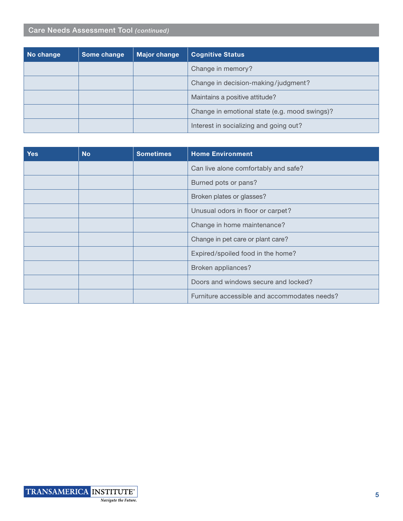## Care Needs Assessment Tool *(continued)*

| No change | Some change | <b>Major change</b> | <b>Cognitive Status</b>                       |
|-----------|-------------|---------------------|-----------------------------------------------|
|           |             |                     | Change in memory?                             |
|           |             |                     | Change in decision-making/judgment?           |
|           |             |                     | Maintains a positive attitude?                |
|           |             |                     | Change in emotional state (e.g. mood swings)? |
|           |             |                     | Interest in socializing and going out?        |

| <b>Yes</b> | <b>No</b> | <b>Sometimes</b> | <b>Home Environment</b>                      |
|------------|-----------|------------------|----------------------------------------------|
|            |           |                  | Can live alone comfortably and safe?         |
|            |           |                  | Burned pots or pans?                         |
|            |           |                  | Broken plates or glasses?                    |
|            |           |                  | Unusual odors in floor or carpet?            |
|            |           |                  | Change in home maintenance?                  |
|            |           |                  | Change in pet care or plant care?            |
|            |           |                  | Expired/spoiled food in the home?            |
|            |           |                  | Broken appliances?                           |
|            |           |                  | Doors and windows secure and locked?         |
|            |           |                  | Furniture accessible and accommodates needs? |

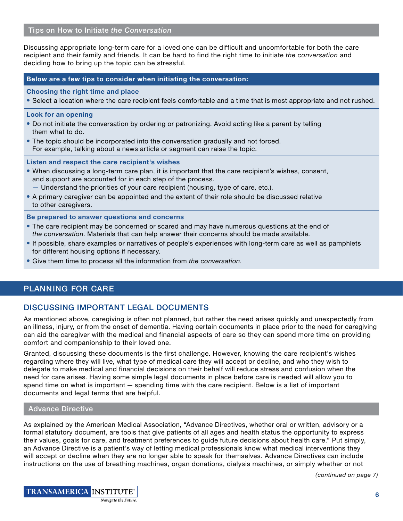## Tips on How to Initiate *the Conversation*

Discussing appropriate long-term care for a loved one can be difficult and uncomfortable for both the care recipient and their family and friends. It can be hard to find the right time to initiate *the conversation* and deciding how to bring up the topic can be stressful.

## Below are a few tips to consider when initiating the conversation:

#### Choosing the right time and place

• Select a location where the care recipient feels comfortable and a time that is most appropriate and not rushed.

#### Look for an opening

- Do not initiate the conversation by ordering or patronizing. Avoid acting like a parent by telling them what to do.
- The topic should be incorporated into the conversation gradually and not forced. For example, talking about a news article or segment can raise the topic.

#### Listen and respect the care recipient's wishes

- When discussing a long-term care plan, it is important that the care recipient's wishes, consent, and support are accounted for in each step of the process.
	- Understand the priorities of your care recipient (housing, type of care, etc.).
- A primary caregiver can be appointed and the extent of their role should be discussed relative to other caregivers.

#### Be prepared to answer questions and concerns

- The care recipient may be concerned or scared and may have numerous questions at the end of *the conversation*. Materials that can help answer their concerns should be made available.
- If possible, share examples or narratives of people's experiences with long-term care as well as pamphlets for different housing options if necessary.
- Give them time to process all the information from *the conversation*.

## PLANNING FOR CARE

## DISCUSSING IMPORTANT LEGAL DOCUMENTS

As mentioned above, caregiving is often not planned, but rather the need arises quickly and unexpectedly from an illness, injury, or from the onset of dementia. Having certain documents in place prior to the need for caregiving can aid the caregiver with the medical and financial aspects of care so they can spend more time on providing comfort and companionship to their loved one.

Granted, discussing these documents is the first challenge. However, knowing the care recipient's wishes regarding where they will live, what type of medical care they will accept or decline, and who they wish to delegate to make medical and financial decisions on their behalf will reduce stress and confusion when the need for care arises. Having some simple legal documents in place before care is needed will allow you to spend time on what is important — spending time with the care recipient. Below is a list of important documents and legal terms that are helpful.

## Advance Directive

As explained by the American Medical Association, "Advance Directives, whether oral or written, advisory or a formal statutory document, are tools that give patients of all ages and health status the opportunity to express their values, goals for care, and treatment preferences to guide future decisions about health care." Put simply, an Advance Directive is a patient's way of letting medical professionals know what medical interventions they will accept or decline when they are no longer able to speak for themselves. Advance Directives can include instructions on the use of breathing machines, organ donations, dialysis machines, or simply whether or not

*(continued on page 7)*

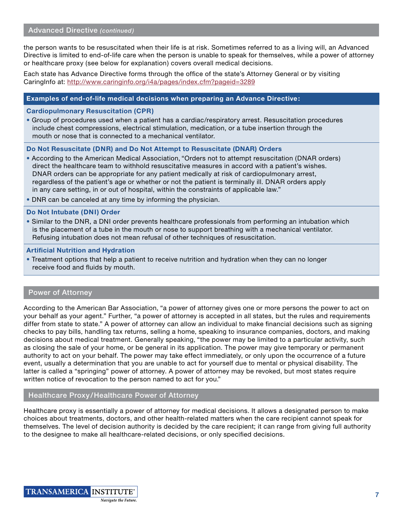the person wants to be resuscitated when their life is at risk. Sometimes referred to as a living will, an Advanced Directive is limited to end-of-life care when the person is unable to speak for themselves, while a power of attorney or healthcare proxy (see below for explanation) covers overall medical decisions.

Each state has Advance Directive forms through the office of the state's Attorney General or by visiting CaringInfo at:<http://www.caringinfo.org/i4a/pages/index.cfm?pageid=3289>

## Examples of end-of-life medical decisions when preparing an Advance Directive:

## Cardiopulmonary Resuscitation (CPR)

• Group of procedures used when a patient has a cardiac/respiratory arrest. Resuscitation procedures include chest compressions, electrical stimulation, medication, or a tube insertion through the mouth or nose that is connected to a mechanical ventilator.

## Do Not Resuscitate (DNR) and Do Not Attempt to Resuscitate (DNAR) Orders

• According to the American Medical Association, "Orders not to attempt resuscitation (DNAR orders) direct the healthcare team to withhold resuscitative measures in accord with a patient's wishes. DNAR orders can be appropriate for any patient medically at risk of cardiopulmonary arrest, regardless of the patient's age or whether or not the patient is terminally ill. DNAR orders apply in any care setting, in or out of hospital, within the constraints of applicable law."

• DNR can be canceled at any time by informing the physician.

## Do Not Intubate (DNI) Order

• Similar to the DNR, a DNI order prevents healthcare professionals from performing an intubation which is the placement of a tube in the mouth or nose to support breathing with a mechanical ventilator. Refusing intubation does not mean refusal of other techniques of resuscitation.

## Artificial Nutrition and Hydration

• Treatment options that help a patient to receive nutrition and hydration when they can no longer receive food and fluids by mouth.

## Power of Attorney

According to the American Bar Association, "a power of attorney gives one or more persons the power to act on your behalf as your agent." Further, "a power of attorney is accepted in all states, but the rules and requirements differ from state to state." A power of attorney can allow an individual to make financial decisions such as signing checks to pay bills, handling tax returns, selling a home, speaking to insurance companies, doctors, and making decisions about medical treatment. Generally speaking, "the power may be limited to a particular activity, such as closing the sale of your home, or be general in its application. The power may give temporary or permanent authority to act on your behalf. The power may take effect immediately, or only upon the occurrence of a future event, usually a determination that you are unable to act for yourself due to mental or physical disability. The latter is called a "springing" power of attorney. A power of attorney may be revoked, but most states require written notice of revocation to the person named to act for you."

## Healthcare Proxy/Healthcare Power of Attorney

Healthcare proxy is essentially a power of attorney for medical decisions. It allows a designated person to make choices about treatments, doctors, and other health-related matters when the care recipient cannot speak for themselves. The level of decision authority is decided by the care recipient; it can range from giving full authority to the designee to make all healthcare-related decisions, or only specified decisions.

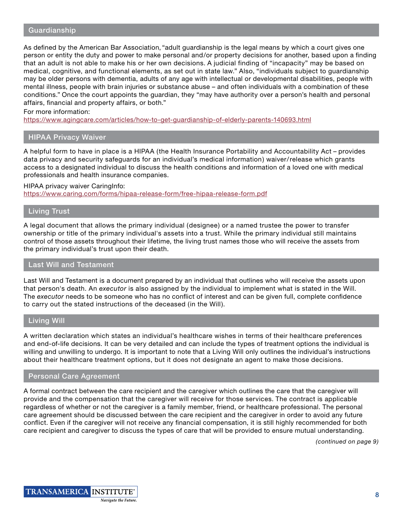## Guardianship

As defined by the American Bar Association, "adult guardianship is the legal means by which a court gives one person or entity the duty and power to make personal and/or property decisions for another, based upon a finding that an adult is not able to make his or her own decisions. A judicial finding of "incapacity" may be based on medical, cognitive, and functional elements, as set out in state law." Also, "individuals subject to guardianship may be older persons with dementia, adults of any age with intellectual or developmental disabilities, people with mental illness, people with brain injuries or substance abuse – and often individuals with a combination of these conditions." Once the court appoints the guardian, they "may have authority over a person's health and personal affairs, financial and property affairs, or both."

For more information:

[https://www.agingcare.com/articles/how-to-get-guardianship-of-elderly-parents-140693.html](https://www.agingcare.com/articles/how-to-get-guardianship-of-elderly-parents-140693.htm)

## HIPAA Privacy Waiver

A helpful form to have in place is a HIPAA (the Health Insurance Portability and Accountability Act – provides data privacy and security safeguards for an individual's medical information) waiver/release which grants access to a designated individual to discuss the health conditions and information of a loved one with medical professionals and health insurance companies.

HIPAA privacy waiver CaringInfo: [https://www.caring.com/forms/hipaa-release-form/free-hipaa-release-form.pdf](https://www.caring.com/forms/hipaa-release-form/free-hipaa-release-form.pdf  )

## Living Trust

A legal document that allows the primary individual (designee) or a named trustee the power to transfer ownership or title of the primary individual's assets into a trust. While the primary individual still maintains control of those assets throughout their lifetime, the living trust names those who will receive the assets from the primary individual's trust upon their death.

## Last Will and Testament

Last Will and Testament is a document prepared by an individual that outlines who will receive the assets upon that person's death. An *executor* is also assigned by the individual to implement what is stated in the Will. The *executor* needs to be someone who has no conflict of interest and can be given full, complete confidence to carry out the stated instructions of the deceased (in the Will).

## Living Will

A written declaration which states an individual's healthcare wishes in terms of their healthcare preferences and end-of-life decisions. It can be very detailed and can include the types of treatment options the individual is willing and unwilling to undergo. It is important to note that a Living Will only outlines the individual's instructions about their healthcare treatment options, but it does not designate an agent to make those decisions.

## Personal Care Agreement

A formal contract between the care recipient and the caregiver which outlines the care that the caregiver will provide and the compensation that the caregiver will receive for those services. The contract is applicable regardless of whether or not the caregiver is a family member, friend, or healthcare professional. The personal care agreement should be discussed between the care recipient and the caregiver in order to avoid any future conflict. Even if the caregiver will not receive any financial compensation, it is still highly recommended for both care recipient and caregiver to discuss the types of care that will be provided to ensure mutual understanding.

*(continued on page 9)*

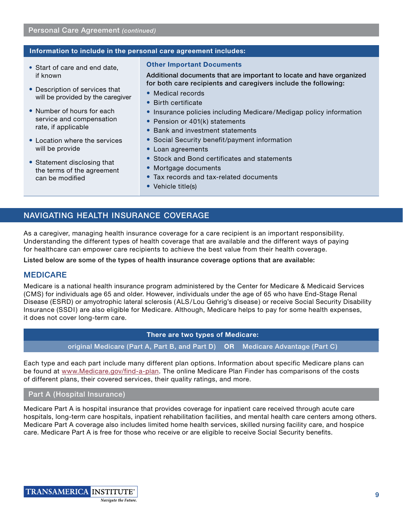Personal Care Agreement *(continued)*

## Information to include in the personal care agreement includes:

- Start of care and end date, if known
- Description of services that will be provided by the caregiver
- Number of hours for each service and compensation rate, if applicable
- Location where the services will be provide
- Statement disclosing that the terms of the agreement can be modified

#### Other Important Documents

Additional documents that are important to locate and have organized for both care recipients and caregivers include the following:

- Medical records
- Birth certificate
- Insurance policies including Medicare/Medigap policy information
- Pension or 401(k) statements
- Bank and investment statements
- Social Security benefit/payment information
- Loan agreements
- Stock and Bond certificates and statements
- Mortgage documents
- Tax records and tax-related documents
- Vehicle title(s)

## NAVIGATING HEALTH INSURANCE COVERAGE

As a caregiver, managing health insurance coverage for a care recipient is an important responsibility. Understanding the different types of health coverage that are available and the different ways of paying for healthcare can empower care recipients to achieve the best value from their health coverage.

Listed below are some of the types of health insurance coverage options that are available:

## MEDICARE

Medicare is a national health insurance program administered by the Center for Medicare & Medicaid Services (CMS) for individuals age 65 and older. However, individuals under the age of 65 who have End-Stage Renal Disease (ESRD) or amyotrophic lateral sclerosis ( ALS/Lou Gehrig's disease ) or receive Social Security Disability Insurance (SSDI) are also eligible for Medicare. Although, Medicare helps to pay for some health expenses, it does not cover long-term care.

#### There are two types of Medicare:

original Medicare (Part A, Part B, and Part D) OR Medicare Advantage (Part C)

Each type and each part include many different plan options. Information about specific Medicare plans can be found at [www.Medicare.gov/find-a-plan](http://www.Medicare.gov/find-a-plan). The online Medicare Plan Finder has comparisons of the costs of different plans, their covered services, their quality ratings, and more.

## Part A (Hospital Insurance)

Medicare Part A is hospital insurance that provides coverage for inpatient care received through acute care hospitals, long-term care hospitals, inpatient rehabilitation facilities, and mental health care centers among others. Medicare Part A coverage also includes limited home health services, skilled nursing facility care, and hospice care. Medicare Part A is free for those who receive or are eligible to receive Social Security benefits.

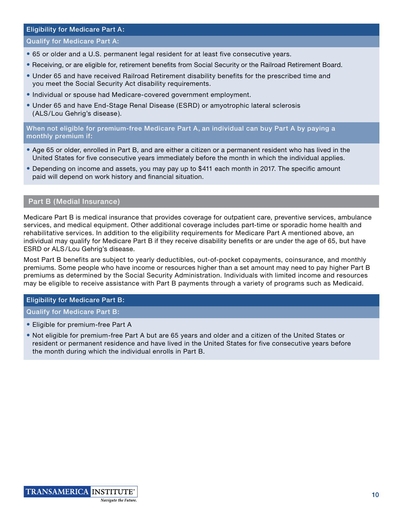Eligibility for Medicare Part A:

### Qualify for Medicare Part A:

- 65 or older and a U.S. permanent legal resident for at least five consecutive years.
- Receiving, or are eligible for, retirement benefits from Social Security or the Railroad Retirement Board.
- Under 65 and have received Railroad Retirement disability benefits for the prescribed time and you meet the Social Security Act disability requirements.
- Individual or spouse had Medicare-covered government employment.
- Under 65 and have End-Stage Renal Disease (ESRD) or amyotrophic lateral sclerosis (ALS/Lou Gehrig's disease).

When not eligible for premium-free Medicare Part A, an individual can buy Part A by paying a monthly premium if:

- Age 65 or older, enrolled in Part B, and are either a citizen or a permanent resident who has lived in the United States for five consecutive years immediately before the month in which the individual applies.
- Depending on income and assets, you may pay up to \$411 each month in 2017. The specific amount paid will depend on work history and financial situation.

## Part B (Medial Insurance)

Medicare Part B is medical insurance that provides coverage for outpatient care, preventive services, ambulance services, and medical equipment. Other additional coverage includes part-time or sporadic home health and rehabilitative services. In addition to the eligibility requirements for Medicare Part A mentioned above, an individual may qualify for Medicare Part B if they receive disability benefits or are under the age of 65, but have ESRD or ALS /Lou Gehrig's disease.

Most Part B benefits are subject to yearly deductibles, out-of-pocket copayments, coinsurance, and monthly premiums. Some people who have income or resources higher than a set amount may need to pay higher Part B premiums as determined by the Social Security Administration. Individuals with limited income and resources may be eligible to receive assistance with Part B payments through a variety of programs such as Medicaid.

## Eligibility for Medicare Part B:

Qualify for Medicare Part B:

- Eligible for premium-free Part A
- Not eligible for premium-free Part A but are 65 years and older and a citizen of the United States or resident or permanent residence and have lived in the United States for five consecutive years before the month during which the individual enrolls in Part B.

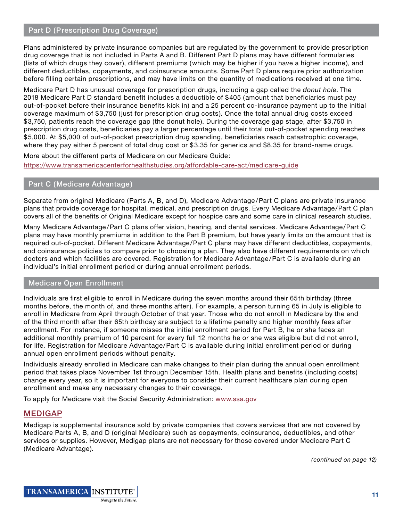## Part D (Prescription Drug Coverage)

Plans administered by private insurance companies but are regulated by the government to provide prescription drug coverage that is not included in Parts A and B. Different Part D plans may have different formularies (lists of which drugs they cover), different premiums (which may be higher if you have a higher income), and different deductibles, copayments, and coinsurance amounts. Some Part D plans require prior authorization before filling certain prescriptions, and may have limits on the quantity of medications received at one time.

Medicare Part D has unusual coverage for prescription drugs, including a gap called the *donut hole*. The 2018 Medicare Part D standard benefit includes a deductible of \$405 (amount that beneficiaries must pay out-of-pocket before their insurance benefits kick in) and a 25 percent co-insurance payment up to the initial coverage maximum of \$3,750 (just for prescription drug costs). Once the total annual drug costs exceed \$3,750, patients reach the coverage gap (the donut hole). During the coverage gap stage, after \$3,750 in prescription drug costs, beneficiaries pay a larger percentage until their total out-of-pocket spending reaches \$5,000. At \$5,000 of out-of-pocket prescription drug spending, beneficiaries reach catastrophic coverage, where they pay either 5 percent of total drug cost or \$3.35 for generics and \$8.35 for brand-name drugs.

More about the different parts of Medicare on our Medicare Guide: <https://www.transamericacenterforhealthstudies.org/affordable-care-act/medicare-guide>

## Part C (Medicare Advantage)

Separate from original Medicare (Parts A, B, and D), Medicare Advantage /Part C plans are private insurance plans that provide coverage for hospital, medical, and prescription drugs. Every Medicare Advantage/Part C plan covers all of the benefits of Original Medicare except for hospice care and some care in clinical research studies.

Many Medicare Advantage /Part C plans offer vision, hearing, and dental services. Medicare Advantage/Part C plans may have monthly premiums in addition to the Part B premium, but have yearly limits on the amount that is required out-of-pocket. Different Medicare Advantage/Part C plans may have different deductibles, copayments, and coinsurance policies to compare prior to choosing a plan. They also have different requirements on which doctors and which facilities are covered. Registration for Medicare Advantage/Part C is available during an individual's initial enrollment period or during annual enrollment periods.

## Medicare Open Enrollment

Individuals are first eligible to enroll in Medicare during the seven months around their 65th birthday (three months before, the month of, and three months after). For example, a person turning 65 in July is eligible to enroll in Medicare from April through October of that year. Those who do not enroll in Medicare by the end of the third month after their 65th birthday are subject to a lifetime penalty and higher monthly fees after enrollment. For instance, if someone misses the initial enrollment period for Part B, he or she faces an additional monthly premium of 10 percent for every full 12 months he or she was eligible but did not enroll, for life. Registration for Medicare Advantage/Part C is available during initial enrollment period or during annual open enrollment periods without penalty.

Individuals already enrolled in Medicare can make changes to their plan during the annual open enrollment period that takes place November 1st through December 15th. Health plans and benefits ( including costs) change every year, so it is important for everyone to consider their current healthcare plan during open enrollment and make any necessary changes to their coverage.

To apply for Medicare visit the Social Security Administration: [www.ssa.gov](https://www.ssa.gov/)

## [MEDIGAP](https://www.ssa.gov/)

Medigap is supplemental insurance sold by private companies that covers services that are not covered by Medicare Parts A, B, and D (original Medicare) such as copayments, coinsurance, deductibles, and other services or supplies. However, Medigap plans are not necessary for those covered under Medicare Part C (Medicare Advantage).

 *(continued on page 12)*

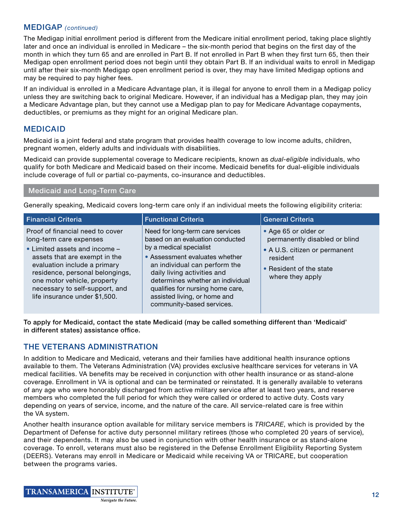## MEDIGAP *(continued)*

The Medigap initial enrollment period is different from the Medicare initial enrollment period, taking place slightly later and once an individual is enrolled in Medicare – the six-month period that begins on the first day of the month in which they turn 65 and are enrolled in Part B. If not enrolled in Part B when they first turn 65, then their Medigap open enrollment period does not begin until they obtain Part B. If an individual waits to enroll in Medigap until after their six-month Medigap open enrollment period is over, they may have limited Medigap options and may be required to pay higher fees.

If an individual is enrolled in a Medicare Advantage plan, it is illegal for anyone to enroll them in a Medigap policy unless they are switching back to original Medicare. However, if an individual has a Medigap plan, they may join a Medicare Advantage plan, but they cannot use a Medigap plan to pay for Medicare Advantage copayments, deductibles, or premiums as they might for an original Medicare plan.

## MEDICAID

Medicaid is a joint federal and state program that provides health coverage to low income adults, children, pregnant women, elderly adults and individuals with disabilities.

Medicaid can provide supplemental coverage to Medicare recipients, known as *dual-eligible* individuals, who qualify for both Medicare and Medicaid based on their income. Medicaid benefits for dual-eligible individuals include coverage of full or partial co-payments, co-insurance and deductibles.

## Medicaid and Long-Term Care

Generally speaking, Medicaid covers long-term care only if an individual meets the following eligibility criteria:

| <b>Financial Criteria</b>                                                                                                                                                                                                                                                                          | <b>Functional Criteria</b>                                                                                                                                                                                                                                                                                                             | <b>General Criteria</b>                                                                                                                           |
|----------------------------------------------------------------------------------------------------------------------------------------------------------------------------------------------------------------------------------------------------------------------------------------------------|----------------------------------------------------------------------------------------------------------------------------------------------------------------------------------------------------------------------------------------------------------------------------------------------------------------------------------------|---------------------------------------------------------------------------------------------------------------------------------------------------|
| Proof of financial need to cover<br>long-term care expenses<br>• Limited assets and income -<br>assets that are exempt in the<br>evaluation include a primary<br>residence, personal belongings,<br>one motor vehicle, property<br>necessary to self-support, and<br>life insurance under \$1,500. | Need for long-term care services<br>based on an evaluation conducted<br>by a medical specialist<br>• Assessment evaluates whether<br>an individual can perform the<br>daily living activities and<br>determines whether an individual<br>qualifies for nursing home care,<br>assisted living, or home and<br>community-based services. | • Age 65 or older or<br>permanently disabled or blind<br>• A U.S. citizen or permanent<br>resident<br>• Resident of the state<br>where they apply |

To apply for Medicaid, contact the state Medicaid (may be called something different than 'Medicaid' in different states) assistance office.

## THE VETERANS ADMINISTRATION

In addition to Medicare and Medicaid, veterans and their families have additional health insurance options available to them. The Veterans Administration (VA) provides exclusive healthcare services for veterans in VA medical facilities. VA benefits may be received in conjunction with other health insurance or as stand-alone coverage. Enrollment in VA is optional and can be terminated or reinstated. It is generally available to veterans of any age who were honorably discharged from active military service after at least two years, and reserve members who completed the full period for which they were called or ordered to active duty. Costs vary depending on years of service, income, and the nature of the care. All service-related care is free within the VA system.

Another health insurance option available for military service members is *TRICARE*, which is provided by the Department of Defense for active duty personnel military retirees (those who completed 20 years of service), and their dependents. It may also be used in conjunction with other health insurance or as stand-alone coverage. To enroll, veterans must also be registered in the Defense Enrollment Eligibility Reporting System (DEERS). Veterans may enroll in Medicare or Medicaid while receiving VA or TRICARE, but cooperation between the programs varies.

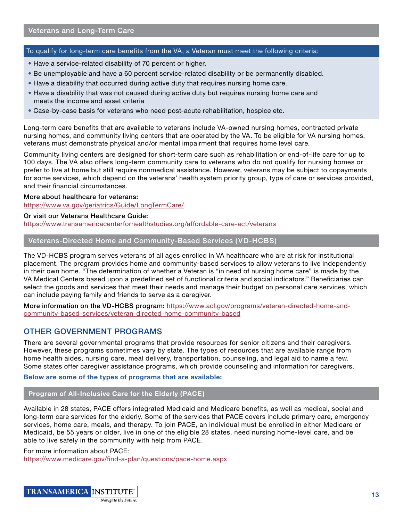## To qualify for long-term care benefits from the VA, a Veteran must meet the following criteria:

- Have a service-related disability of 70 percent or higher.
- Be unemployable and have a 60 percent service-related disability or be permanently disabled.
- Have a disability that occurred during active duty that requires nursing home care.
- Have a disability that was not caused during active duty but requires nursing home care and meets the income and asset criteria
- Case-by-case basis for veterans who need post-acute rehabilitation, hospice etc.

Long-term care benefits that are available to veterans include VA-owned nursing homes, contracted private nursing homes, and community living centers that are operated by the VA. To be eligible for VA nursing homes, veterans must demonstrate physical and/or mental impairment that requires home level care.

Community living centers are designed for short-term care such as rehabilitation or end-of-life care for up to 100 days. The VA also offers long-term community care to veterans who do not qualify for nursing homes or prefer to live at home but still require nonmedical assistance. However, veterans may be subject to copayments for some services, which depend on the veterans' health system priority group, type of care or services provided, and their financial circumstances.

### More about healthcare for veterans:

<https://www.va.gov/geriatrics/Guide/LongTermCare/>

Or visit our Veterans Healthcare Guide: <https://www.transamericacenterforhealthstudies.org/affordable-care-act/veterans>

## Veterans-Directed Home and Community-Based Services (VD-HCBS)

The VD-HCBS program serves veterans of all ages enrolled in VA healthcare who are at risk for institutional placement. The program provides home and community-based services to allow veterans to live independently in their own home. "The determination of whether a Veteran is "in need of nursing home care" is made by the VA Medical Centers based upon a predefined set of functional criteria and social indicators." Beneficiaries can select the goods and services that meet their needs and manage their budget on personal care services, which can include paying family and friends to serve as a caregiver.

More information on the VD-HCBS program: [https://www.acl.gov/programs/veteran-directed-home-and](https://www.acl.gov/programs/veteran-directed-home-and-community-based-services/veteran-directed-home-community-based)[community-based-services/veteran-directed-home-community-based](https://www.acl.gov/programs/veteran-directed-home-and-community-based-services/veteran-directed-home-community-based)

## OTHER GOVERNMENT PROGRAMS

There are several governmental programs that provide resources for senior citizens and their caregivers. However, these programs sometimes vary by state. The types of resources that are available range from home health aides, nursing care, meal delivery, transportation, counseling, and legal aid to name a few. Some states offer caregiver assistance programs, which provide counseling and information for caregivers.

## Below are some of the types of programs that are available:

#### Program of All-Inclusive Care for the Elderly (PACE)

Available in 28 states, PACE offers integrated Medicaid and Medicare benefits, as well as medical, social and long-term care services for the elderly. Some of the services that PACE covers include primary care, emergency services, home care, meals, and therapy. To join PACE, an individual must be enrolled in either Medicare or Medicaid, be 55 years or older, live in one of the eligible 28 states, need nursing home-level care, and be able to live safely in the community with help from PACE.

For more information about PACE:

<https://www.medicare.gov/find-a-plan/questions/pace-home.aspx>

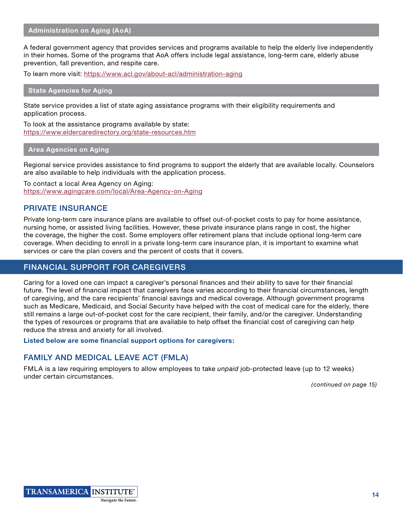A federal government agency that provides services and programs available to help the elderly live independently in their homes. Some of the programs that AoA offers include legal assistance, long-term care, elderly abuse prevention, fall prevention, and respite care.

To learn more visit: <https://www.acl.gov/about-acl/administration-aging>

#### State Agencies for Aging

State service provides a list of state aging assistance programs with their eligibility requirements and application process.

To look at the assistance programs available by state: <https://www.eldercaredirectory.org/state-resources.htm>

## Area Agencies on Aging

Regional service provides assistance to find programs to support the elderly that are available locally. Counselors are also available to help individuals with the application process.

To contact a local Area Agency on Aging: <https://www.agingcare.com/local/Area-Agency-on-Aging>

## PRIVATE INSURANCE

Private long-term care insurance plans are available to offset out-of-pocket costs to pay for home assistance, nursing home, or assisted living facilities. However, these private insurance plans range in cost, the higher the coverage, the higher the cost. Some employers offer retirement plans that include optional long-term care coverage. When deciding to enroll in a private long-term care insurance plan, it is important to examine what services or care the plan covers and the percent of costs that it covers.

## FINANCIAL SUPPORT FOR CAREGIVERS

Caring for a loved one can impact a caregiver's personal finances and their ability to save for their financial future. The level of financial impact that caregivers face varies according to their financial circumstances, length of caregiving, and the care recipients' financial savings and medical coverage. Although government programs such as Medicare, Medicaid, and Social Security have helped with the cost of medical care for the elderly, there still remains a large out-of-pocket cost for the care recipient, their family, and/or the caregiver. Understanding the types of resources or programs that are available to help offset the financial cost of caregiving can help reduce the stress and anxiety for all involved.

#### Listed below are some financial support options for caregivers:

## FAMILY AND MEDICAL LEAVE ACT (FMLA)

FMLA is a law requiring employers to allow employees to take *unpaid* job-protected leave (up to 12 weeks) under certain circumstances.

 *(continued on page 15)*

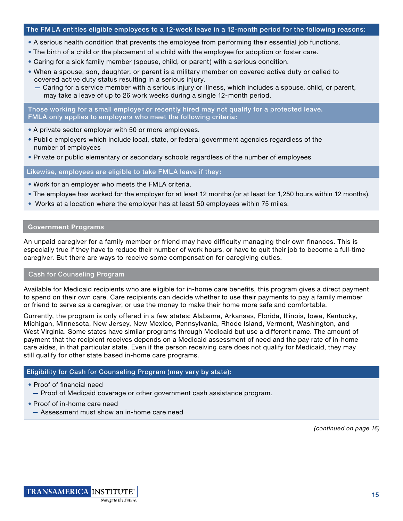## The FMLA entitles eligible employees to a 12-week leave in a 12-month period for the following reasons:

- A serious health condition that prevents the employee from performing their essential job functions.
- The birth of a child or the placement of a child with the employee for adoption or foster care.
- Caring for a sick family member (spouse, child, or parent) with a serious condition.
- When a spouse, son, daughter, or parent is a military member on covered active duty or called to covered active duty status resulting in a serious injury.
	- Caring for a service member with a serious injury or illness, which includes a spouse, child, or parent, may take a leave of up to 26 work weeks during a single 12-month period.

Those working for a small employer or recently hired may not qualify for a protected leave. FMLA only applies to employers who meet the following criteria:

- A private sector employer with 50 or more employees.
- Public employers which include local, state, or federal government agencies regardless of the number of employees
- Private or public elementary or secondary schools regardless of the number of employees

Likewise, employees are eligible to take FMLA leave if they:

- Work for an employer who meets the FMLA criteria.
- The employee has worked for the employer for at least 12 months (or at least for 1,250 hours within 12 months).
- Works at a location where the employer has at least 50 employees within 75 miles.

## Government Programs

An unpaid caregiver for a family member or friend may have difficulty managing their own finances. This is especially true if they have to reduce their number of work hours, or have to quit their job to become a full-time caregiver. But there are ways to receive some compensation for caregiving duties.

## Cash for Counseling Program

Available for Medicaid recipients who are eligible for in-home care benefits, this program gives a direct payment to spend on their own care. Care recipients can decide whether to use their payments to pay a family member or friend to serve as a caregiver, or use the money to make their home more safe and comfortable.

Currently, the program is only offered in a few states: Alabama, Arkansas, Florida, Illinois, Iowa, Kentucky, Michigan, Minnesota, New Jersey, New Mexico, Pennsylvania, Rhode Island, Vermont, Washington, and West Virginia. Some states have similar programs through Medicaid but use a different name. The amount of payment that the recipient receives depends on a Medicaid assessment of need and the pay rate of in-home care aides, in that particular state. Even if the person receiving care does not qualify for Medicaid, they may still qualify for other state based in-home care programs.

## Eligibility for Cash for Counseling Program (may vary by state):

- Proof of financial need
	- Proof of Medicaid coverage or other government cash assistance program.
- Proof of in-home care need
- Assessment must show an in-home care need

 *(continued on page 16)*

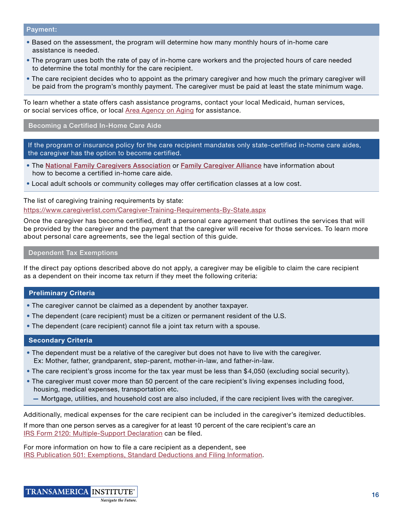#### Payment:

- Based on the assessment, the program will determine how many monthly hours of in-home care assistance is needed.
- The program uses both the rate of pay of in-home care workers and the projected hours of care needed to determine the total monthly for the care recipient.
- The care recipient decides who to appoint as the primary caregiver and how much the primary caregiver will be paid from the program's monthly payment. The caregiver must be paid at least the state minimum wage.

To learn whether a state offers cash assistance programs, contact your local Medicaid, human services, or social services office, or local [Area Agency on Aging](https://www.agingcare.com/local/Area-Agency-on-Aging) for assistance.

## Becoming a Certified In-Home Care Aide

If the program or insurance policy for the care recipient mandates only state-certified in-home care aides, the caregiver has the option to become certified.

- The [National Family Caregivers Association](http://www.caregiveraction.org/) or [Family Caregiver Alliance](https://www.caregiver.org/) have information about how to become a certified in-home care aide.
- Local adult schools or community colleges may offer certification classes at a low cost.

The list of caregiving training requirements by state:

<https://www.caregiverlist.com/Caregiver-Training-Requirements-By-State.aspx>

Once the caregiver has become certified, draft a personal care agreement that outlines the services that will be provided by the caregiver and the payment that the caregiver will receive for those services. To learn more about personal care agreements, see the legal section of this guide.

#### Dependent Tax Exemptions

If the direct pay options described above do not apply, a caregiver may be eligible to claim the care recipient as a dependent on their income tax return if they meet the following criteria:

## Preliminary Criteria

- The caregiver cannot be claimed as a dependent by another taxpayer.
- The dependent (care recipient) must be a citizen or permanent resident of the U.S.
- The dependent (care recipient) cannot file a joint tax return with a spouse.

#### Secondary Criteria

- The dependent must be a relative of the caregiver but does not have to live with the caregiver. Ex: Mother, father, grandparent, step-parent, mother-in-law, and father-in-law.
- The care recipient's gross income for the tax year must be less than \$4,050 (excluding social security).
- The caregiver must cover more than 50 percent of the care recipient's living expenses including food, housing, medical expenses, transportation etc.
	- Mortgage, utilities, and household cost are also included, if the care recipient lives with the caregiver.

Additionally, medical expenses for the care recipient can be included in the caregiver's itemized deductibles.

If more than one person serves as a caregiver for at least 10 percent of the care recipient's care an [IRS Form 2120: Multiple-Support Declaration](https://www.irs.gov/pub/irs-pdf/f2120.pdf) can be filed.

For more information on how to file a care recipient as a dependent, see [IRS Publication 501: Exemptions, Standard Deductions and Filing Information.](https://www.irs.gov/pub/irs-pdf/p501.pdf)

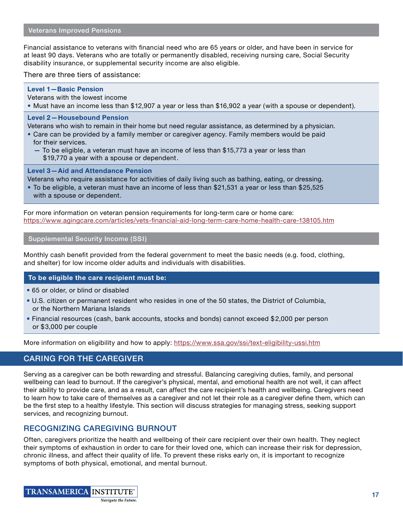Financial assistance to veterans with financial need who are 65 years or older, and have been in service for at least 90 days. Veterans who are totally or permanently disabled, receiving nursing care, Social Security disability insurance, or supplemental security income are also eligible.

There are three tiers of assistance:

## Level 1—Basic Pension

Veterans with the lowest income

• Must have an income less than \$12,907 a year or less than \$16,902 a year (with a spouse or dependent).

## Level 2—Housebound Pension

Veterans who wish to remain in their home but need regular assistance, as determined by a physician.

- Care can be provided by a family member or caregiver agency. Family members would be paid for their services.
	- To be eligible, a veteran must have an income of less than \$15,773 a year or less than \$19,770 a year with a spouse or dependent.

## Level 3—Aid and Attendance Pension

Veterans who require assistance for activities of daily living such as bathing, eating, or dressing.

• To be eligible, a veteran must have an income of less than \$21,531 a year or less than \$25,525 with a spouse or dependent.

For more information on veteran pension requirements for long-term care or home care: <https://www.agingcare.com/articles/vets-financial-aid-long-term-care-home-health-care-138105.htm>

Supplemental Security Income (SSI)

Monthly cash benefit provided from the federal government to meet the basic needs (e.g. food, clothing, and shelter) for low income older adults and individuals with disabilities.

## To be eligible the care recipient must be:

- 65 or older, or blind or disabled
- U.S. citizen or permanent resident who resides in one of the 50 states, the District of Columbia, or the Northern Mariana Islands
- Financial resources (cash, bank accounts, stocks and bonds) cannot exceed \$ 2,000 per person or \$3,000 per couple

More information on eligibility and how to apply: <https://www.ssa.gov/ssi/text-eligibility-ussi.htm>

## CARING FOR THE CAREGIVER

Serving as a caregiver can be both rewarding and stressful. Balancing caregiving duties, family, and personal wellbeing can lead to burnout. If the caregiver's physical, mental, and emotional health are not well, it can affect their ability to provide care, and as a result, can affect the care recipient's health and wellbeing. Caregivers need to learn how to take care of themselves as a caregiver and not let their role as a caregiver define them, which can be the first step to a healthy lifestyle. This section will discuss strategies for managing stress, seeking support services, and recognizing burnout.

## RECOGNIZING CAREGIVING BURNOUT

Often, caregivers prioritize the health and wellbeing of their care recipient over their own health. They neglect their symptoms of exhaustion in order to care for their loved one, which can increase their risk for depression, chronic illness, and affect their quality of life. To prevent these risks early on, it is important to recognize symptoms of both physical, emotional, and mental burnout.

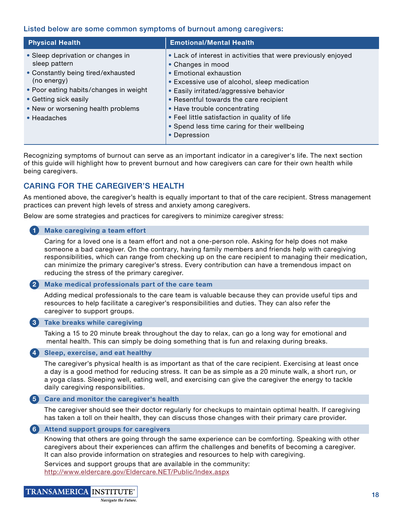## Listed below are some common symptoms of burnout among caregivers:

| <b>Physical Health</b>                                                                                                                                                                                                          | <b>Emotional/Mental Health</b>                                                                                                                                                                                                                                                                                                                                                                    |
|---------------------------------------------------------------------------------------------------------------------------------------------------------------------------------------------------------------------------------|---------------------------------------------------------------------------------------------------------------------------------------------------------------------------------------------------------------------------------------------------------------------------------------------------------------------------------------------------------------------------------------------------|
| • Sleep deprivation or changes in<br>sleep pattern<br>• Constantly being tired/exhausted<br>(no energy)<br>• Poor eating habits/changes in weight<br>• Getting sick easily<br>• New or worsening health problems<br>• Headaches | • Lack of interest in activities that were previously enjoyed<br>• Changes in mood<br>• Emotional exhaustion<br>• Excessive use of alcohol, sleep medication<br>• Easily irritated/aggressive behavior<br>• Resentful towards the care recipient<br>• Have trouble concentrating<br>• Feel little satisfaction in quality of life<br>• Spend less time caring for their wellbeing<br>• Depression |

Recognizing symptoms of burnout can serve as an important indicator in a caregiver's life. The next section of this guide will highlight how to prevent burnout and how caregivers can care for their own health while being caregivers.

## CARING FOR THE CAREGIVER'S HEALTH

As mentioned above, the caregiver's health is equally important to that of the care recipient. Stress management practices can prevent high levels of stress and anxiety among caregivers.

Below are some strategies and practices for caregivers to minimize caregiver stress:

## **1** Make caregiving a team effort

 Caring for a loved one is a team effort and not a one-person role. Asking for help does not make someone a bad caregiver. On the contrary, having family members and friends help with caregiving responsibilities, which can range from checking up on the care recipient to managing their medication, can minimize the primary caregiver's stress. Every contribution can have a tremendous impact on reducing the stress of the primary caregiver.

## 2 Make medical professionals part of the care team

 Adding medical professionals to the care team is valuable because they can provide useful tips and resources to help facilitate a caregiver's responsibilities and duties. They can also refer the caregiver to support groups.

## 3 Take breaks while caregiving

 Taking a 15 to 20 minute break throughout the day to relax, can go a long way for emotional and mental health. This can simply be doing something that is fun and relaxing during breaks.

## 4 Sleep, exercise, and eat healthy

 The caregiver's physical health is as important as that of the care recipient. Exercising at least once a day is a good method for reducing stress. It can be as simple as a 20 minute walk, a short run, or a yoga class. Sleeping well, eating well, and exercising can give the caregiver the energy to tackle daily caregiving responsibilities.

## 5 Care and monitor the caregiver's health

 The caregiver should see their doctor regularly for checkups to maintain optimal health. If caregiving has taken a toll on their health, they can discuss those changes with their primary care provider.

## 6 Attend support groups for caregivers

 Knowing that others are going through the same experience can be comforting. Speaking with other caregivers about their experiences can affirm the challenges and benefits of becoming a caregiver. It can also provide information on strategies and resources to help with caregiving.

 Services and support groups that are available in the community: <http://www.eldercare.gov/Eldercare.NET/Public/Index.aspx>

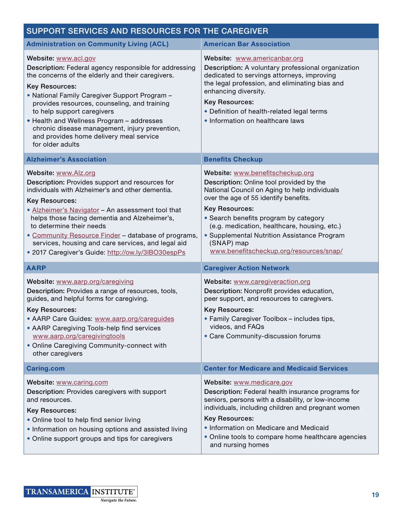| SUPPORT SERVICES AND RESOURCES FOR THE CAREGIVER                                                                                                                                                                                                                                                                                                                                                                                                          |                                                                                                                                                                                                                                                                                                                                                                                                  |
|-----------------------------------------------------------------------------------------------------------------------------------------------------------------------------------------------------------------------------------------------------------------------------------------------------------------------------------------------------------------------------------------------------------------------------------------------------------|--------------------------------------------------------------------------------------------------------------------------------------------------------------------------------------------------------------------------------------------------------------------------------------------------------------------------------------------------------------------------------------------------|
| <b>Administration on Community Living (ACL)</b>                                                                                                                                                                                                                                                                                                                                                                                                           | <b>American Bar Association</b>                                                                                                                                                                                                                                                                                                                                                                  |
| Website: www.acl.gov<br>Description: Federal agency responsible for addressing<br>the concerns of the elderly and their caregivers.<br><b>Key Resources:</b><br>• National Family Caregiver Support Program -<br>provides resources, counseling, and training<br>to help support caregivers<br>• Health and Wellness Program - addresses<br>chronic disease management, injury prevention,<br>and provides home delivery meal service<br>for older adults | Website: www.americanbar.org<br>Description: A voluntary professional organization<br>dedicated to servings attorneys, improving<br>the legal profession, and eliminating bias and<br>enhancing diversity.<br><b>Key Resources:</b><br>• Definition of health-related legal terms<br>• Information on healthcare laws                                                                            |
| <b>Alzheimer's Association</b>                                                                                                                                                                                                                                                                                                                                                                                                                            | <b>Benefits Checkup</b>                                                                                                                                                                                                                                                                                                                                                                          |
| Website: www.Alz.org<br>Description: Provides support and resources for<br>individuals with Alzheimer's and other dementia.<br><b>Key Resources:</b><br>. Alzheimer's Navigator - An assessment tool that<br>helps those facing dementia and Alzeheimer's,<br>to determine their needs<br>• Community Resource Finder - database of programs,<br>services, housing and care services, and legal aid<br>• 2017 Caregiver's Guide: http://ow.ly/3IBO30espPs | Website: www.benefitscheckup.org<br>Description: Online tool provided by the<br>National Council on Aging to help individuals<br>over the age of 55 identify benefits.<br><b>Key Resources:</b><br>• Search benefits program by category<br>(e.g. medication, healthcare, housing, etc.)<br>• Supplemental Nutrition Assistance Program<br>(SNAP) map<br>www.benefitscheckup.org/resources/snap/ |
| <b>AARP</b>                                                                                                                                                                                                                                                                                                                                                                                                                                               | <b>Caregiver Action Network</b>                                                                                                                                                                                                                                                                                                                                                                  |
| Website: www.aarp.org/caregiving<br>Description: Provides a range of resources, tools,<br>guides, and helpful forms for caregiving.<br><b>Key Resources:</b><br>• AARP Care Guides: www.aarp.org/careguides<br>• AARP Caregiving Tools-help find services<br>www.aarp.org/caregivingtools<br>• Online Caregiving Community-connect with<br>other caregivers                                                                                               | Website: www.caregiveraction.org<br>Description: Nonprofit provides education,<br>peer support, and resources to caregivers.<br><b>Key Resources:</b><br>• Family Caregiver Toolbox - includes tips,<br>videos, and FAQs<br>• Care Community-discussion forums                                                                                                                                   |
| <b>Caring.com</b>                                                                                                                                                                                                                                                                                                                                                                                                                                         | <b>Center for Medicare and Medicaid Services</b>                                                                                                                                                                                                                                                                                                                                                 |
| Website: www.caring.com<br>Description: Provides caregivers with support<br>and resources.<br><b>Key Resources:</b><br>. Online tool to help find senior living<br>• Information on housing options and assisted living<br>• Online support groups and tips for caregivers                                                                                                                                                                                | Website: www.medicare.gov<br>Description: Federal health insurance programs for<br>seniors, persons with a disability, or low-income<br>individuals, including children and pregnant women<br><b>Key Resources:</b><br>• Information on Medicare and Medicaid<br>• Online tools to compare home healthcare agencies<br>and nursing homes                                                         |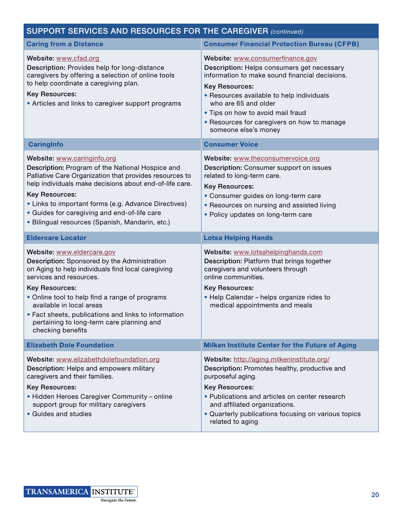| SUPPORT SERVICES AND RESOURCES FOR THE CAREGIVER (continued)                                                                                                                                                                                                                                                                                                                                 |                                                                                                                                                                                                                                                                                                                                            |
|----------------------------------------------------------------------------------------------------------------------------------------------------------------------------------------------------------------------------------------------------------------------------------------------------------------------------------------------------------------------------------------------|--------------------------------------------------------------------------------------------------------------------------------------------------------------------------------------------------------------------------------------------------------------------------------------------------------------------------------------------|
| <b>Caring from a Distance</b>                                                                                                                                                                                                                                                                                                                                                                | <b>Consumer Financial Protection Bureau (CFPB)</b>                                                                                                                                                                                                                                                                                         |
| Website: www.cfad.org<br>Description: Provides help for long-distance<br>caregivers by offering a selection of online tools<br>to help coordinate a caregiving plan.<br><b>Key Resources:</b><br>• Articles and links to caregiver support programs                                                                                                                                          | Website: www.consumerfinance.gov<br>Description: Helps consumers get necessary<br>information to make sound financial decisions.<br><b>Key Resources:</b><br>• Resources available to help individuals<br>who are 65 and older<br>• Tips on how to avoid mail fraud<br>• Resources for caregivers on how to manage<br>someone else's money |
| <b>CaringInfo</b>                                                                                                                                                                                                                                                                                                                                                                            | <b>Consumer Voice</b>                                                                                                                                                                                                                                                                                                                      |
| Website: www.caringinfo.org<br>Description: Program of the National Hospice and<br>Palliative Care Organization that provides resources to<br>help individuals make decisions about end-of-life care.<br><b>Key Resources:</b><br>• Links to important forms (e.g. Advance Directives)<br>• Guides for caregiving and end-of-life care<br>· Bilingual resources (Spanish, Mandarin, etc.)    | Website: www.theconsumervoice.org<br>Description: Consumer support on issues<br>related to long-term care.<br><b>Key Resources:</b><br>• Consumer guides on long-term care<br>• Resources on nursing and assisted living<br>• Policy updates on long-term care                                                                             |
| <b>Eldercare Locator</b>                                                                                                                                                                                                                                                                                                                                                                     | <b>Lotsa Helping Hands</b>                                                                                                                                                                                                                                                                                                                 |
| Website: www.eldercare.gov<br>Description: Sponsored by the Administration<br>on Aging to help individuals find local caregiving<br>services and resources.<br><b>Key Resources:</b><br>• Online tool to help find a range of programs<br>available in local areas<br>• Fact sheets, publications and links to information<br>pertaining to long-term care planning and<br>checking benefits | Website: www.lotsahelpinghands.com<br>Description: Platform that brings together<br>caregivers and volunteers through<br>online communities.<br><b>Key Resources:</b><br>· Help Calendar - helps organize rides to<br>medical appointments and meals                                                                                       |
| <b>Elizabeth Dole Foundation</b>                                                                                                                                                                                                                                                                                                                                                             | <b>Milken Institute Center for the Future of Aging</b>                                                                                                                                                                                                                                                                                     |
| Website: www.elizabethdolefoundation.org<br>Description: Helps and empowers military<br>caregivers and their families.<br><b>Key Resources:</b><br>• Hidden Heroes Caregiver Community - online<br>support group for military caregivers<br>• Guides and studies                                                                                                                             | Website: http://aging.milkeninstitute.org/<br>Description: Promotes healthy, productive and<br>purposeful aging.<br><b>Key Resources:</b><br>· Publications and articles on center research<br>and affiliated organizations.<br>• Quarterly publications focusing on various topics<br>related to aging                                    |

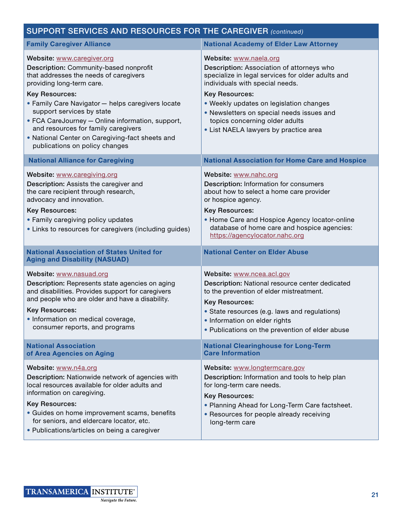| SUPPORT SERVICES AND RESOURCES FOR THE CAREGIVER (continued)                                                                                                                                                                                                                                                                                                                                                                           |                                                                                                                                                                                                                                                                                                                                                         |
|----------------------------------------------------------------------------------------------------------------------------------------------------------------------------------------------------------------------------------------------------------------------------------------------------------------------------------------------------------------------------------------------------------------------------------------|---------------------------------------------------------------------------------------------------------------------------------------------------------------------------------------------------------------------------------------------------------------------------------------------------------------------------------------------------------|
| <b>Family Caregiver Alliance</b>                                                                                                                                                                                                                                                                                                                                                                                                       | <b>National Academy of Elder Law Attorney</b>                                                                                                                                                                                                                                                                                                           |
| Website: www.caregiver.org<br>Description: Community-based nonprofit<br>that addresses the needs of caregivers<br>providing long-term care.<br><b>Key Resources:</b><br>• Family Care Navigator - helps caregivers locate<br>support services by state<br>• FCA CareJourney - Online information, support,<br>and resources for family caregivers<br>. National Center on Caregiving-fact sheets and<br>publications on policy changes | Website: www.naela.org<br>Description: Association of attorneys who<br>specialize in legal services for older adults and<br>individuals with special needs.<br><b>Key Resources:</b><br>• Weekly updates on legislation changes<br>• Newsletters on special needs issues and<br>topics concerning older adults<br>• List NAELA lawyers by practice area |
| <b>National Alliance for Caregiving</b>                                                                                                                                                                                                                                                                                                                                                                                                | <b>National Association for Home Care and Hospice</b>                                                                                                                                                                                                                                                                                                   |
| Website: www.caregiving.org<br>Description: Assists the caregiver and<br>the care recipient through research,<br>advocacy and innovation.<br><b>Key Resources:</b><br>• Family caregiving policy updates<br>• Links to resources for caregivers (including guides)<br><b>National Association of States United for</b><br><b>Aging and Disability (NASUAD)</b>                                                                         | Website: www.nahc.org<br>Description: Information for consumers<br>about how to select a home care provider<br>or hospice agency.<br><b>Key Resources:</b><br>• Home Care and Hospice Agency locator-online<br>database of home care and hospice agencies:<br>https://agencylocator.nahc.org<br><b>National Center on Elder Abuse</b>                   |
| Website: www.nasuad.org<br>Description: Represents state agencies on aging<br>and disabilities. Provides support for caregivers<br>and people who are older and have a disability.<br><b>Key Resources:</b><br>• Information on medical coverage,<br>consumer reports, and programs                                                                                                                                                    | Website: www.ncea.acl.gov<br>Description: National resource center dedicated<br>to the prevention of elder mistreatment.<br><b>Key Resources:</b><br>• State resources (e.g. laws and regulations)<br>• Information on elder rights<br>• Publications on the prevention of elder abuse                                                                  |
| <b>National Association</b><br>of Area Agencies on Aging                                                                                                                                                                                                                                                                                                                                                                               | <b>National Clearinghouse for Long-Term</b><br><b>Care Information</b>                                                                                                                                                                                                                                                                                  |
| Website: www.n4a.org<br>Description: Nationwide network of agencies with<br>local resources available for older adults and<br>information on caregiving.<br><b>Key Resources:</b><br>• Guides on home improvement scams, benefits<br>for seniors, and eldercare locator, etc.<br>• Publications/articles on being a caregiver                                                                                                          | Website: www.longtermcare.gov<br>Description: Information and tools to help plan<br>for long-term care needs.<br><b>Key Resources:</b><br>• Planning Ahead for Long-Term Care factsheet.<br>• Resources for people already receiving<br>long-term care                                                                                                  |

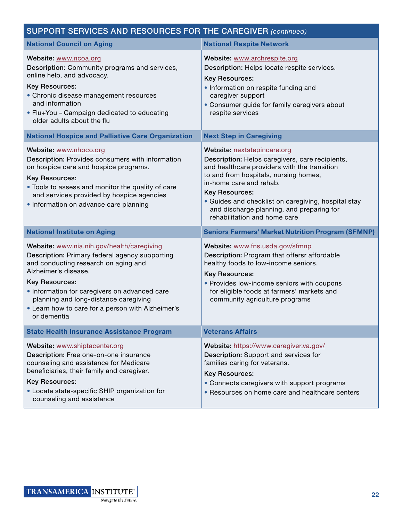| <b>SUPPORT SERVICES AND RESOURCES FOR THE CAREGIVER (continued)</b>                                                                                                                                                                                                                                                                                 |                                                                                                                                                                                                                                                                                                                                                                 |
|-----------------------------------------------------------------------------------------------------------------------------------------------------------------------------------------------------------------------------------------------------------------------------------------------------------------------------------------------------|-----------------------------------------------------------------------------------------------------------------------------------------------------------------------------------------------------------------------------------------------------------------------------------------------------------------------------------------------------------------|
| <b>National Council on Aging</b>                                                                                                                                                                                                                                                                                                                    | <b>National Respite Network</b>                                                                                                                                                                                                                                                                                                                                 |
| Website: www.ncoa.org<br>Description: Community programs and services,<br>online help, and advocacy.<br><b>Key Resources:</b><br>• Chronic disease management resources<br>and information<br>• Flu+You - Campaign dedicated to educating<br>older adults about the flu                                                                             | Website: www.archrespite.org<br>Description: Helps locate respite services.<br><b>Key Resources:</b><br>• Information on respite funding and<br>caregiver support<br>• Consumer guide for family caregivers about<br>respite services                                                                                                                           |
| <b>National Hospice and Palliative Care Organization</b>                                                                                                                                                                                                                                                                                            | <b>Next Step in Caregiving</b>                                                                                                                                                                                                                                                                                                                                  |
| Website: www.nhpco.org<br>Description: Provides consumers with information<br>on hospice care and hospice programs.<br><b>Key Resources:</b><br>. Tools to assess and monitor the quality of care<br>and services provided by hospice agencies<br>• Information on advance care planning                                                            | Website: nextstepincare.org<br>Description: Helps caregivers, care recipients,<br>and healthcare providers with the transition<br>to and from hospitals, nursing homes,<br>in-home care and rehab.<br><b>Key Resources:</b><br>· Guides and checklist on caregiving, hospital stay<br>and discharge planning, and preparing for<br>rehabilitation and home care |
| <b>National Institute on Aging</b>                                                                                                                                                                                                                                                                                                                  | <b>Seniors Farmers' Market Nutrition Program (SFMNP)</b>                                                                                                                                                                                                                                                                                                        |
| Website: www.nia.nih.gov/health/caregiving<br>Description: Primary federal agency supporting<br>and conducting research on aging and<br>Alzheimer's disease.<br><b>Key Resources:</b><br>• Information for caregivers on advanced care<br>planning and long-distance caregiving<br>• Learn how to care for a person with Alzheimer's<br>or dementia | Website: www.fns.usda.gov/sfmnp<br>Description: Program that offersr affordable<br>healthy foods to low-income seniors.<br><b>Key Resources:</b><br>• Provides low-income seniors with coupons<br>for eligible foods at farmers' markets and<br>community agriculture programs                                                                                  |
| <b>State Health Insurance Assistance Program</b>                                                                                                                                                                                                                                                                                                    | <b>Veterans Affairs</b>                                                                                                                                                                                                                                                                                                                                         |
| Website: www.shiptacenter.org<br>Description: Free one-on-one insurance<br>counseling and assistance for Medicare<br>beneficiaries, their family and caregiver.<br><b>Key Resources:</b><br>• Locate state-specific SHIP organization for<br>counseling and assistance                                                                              | Website: https://www.caregiver.va.gov/<br>Description: Support and services for<br>families caring for veterans.<br><b>Key Resources:</b><br>• Connects caregivers with support programs<br>• Resources on home care and healthcare centers                                                                                                                     |

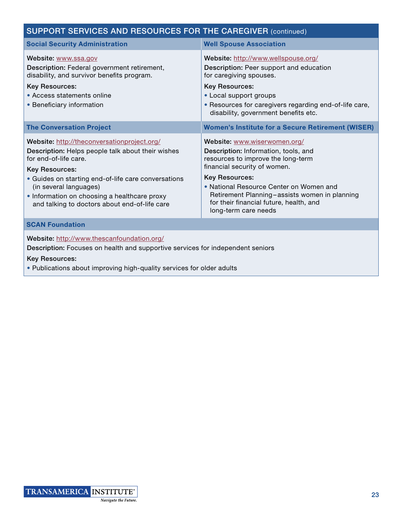| <b>SUPPORT SERVICES AND RESOURCES FOR THE CAREGIVER (continued)</b>                                                                                                                                                                                                                                                                  |                                                                                                                                                                                                                                                                                                                                    |  |
|--------------------------------------------------------------------------------------------------------------------------------------------------------------------------------------------------------------------------------------------------------------------------------------------------------------------------------------|------------------------------------------------------------------------------------------------------------------------------------------------------------------------------------------------------------------------------------------------------------------------------------------------------------------------------------|--|
| <b>Social Security Administration</b>                                                                                                                                                                                                                                                                                                | <b>Well Spouse Association</b>                                                                                                                                                                                                                                                                                                     |  |
| Website: www.ssa.gov<br>Description: Federal government retirement,<br>disability, and survivor benefits program.<br><b>Key Resources:</b><br>• Access statements online<br>• Beneficiary information                                                                                                                                | Website: http://www.wellspouse.org/<br>Description: Peer support and education<br>for caregiving spouses.<br><b>Key Resources:</b><br>• Local support groups<br>• Resources for caregivers regarding end-of-life care,<br>disability, government benefits etc.                                                                     |  |
| <b>The Conversation Project</b>                                                                                                                                                                                                                                                                                                      | <b>Women's Institute for a Secure Retirement (WISER)</b>                                                                                                                                                                                                                                                                           |  |
| Website: http://theconversationproject.org/<br>Description: Helps people talk about their wishes<br>for end-of-life care.<br><b>Key Resources:</b><br>• Guides on starting end-of-life care conversations<br>(in several languages)<br>• Information on choosing a healthcare proxy<br>and talking to doctors about end-of-life care | Website: www.wiserwomen.org/<br>Description: Information, tools, and<br>resources to improve the long-term<br>financial security of women.<br><b>Key Resources:</b><br>• National Resource Center on Women and<br>Retirement Planning-assists women in planning<br>for their financial future, health, and<br>long-term care needs |  |
| <b>SCAN Foundation</b>                                                                                                                                                                                                                                                                                                               |                                                                                                                                                                                                                                                                                                                                    |  |
| Website: http://www.thescanfoundation.org/<br>Description: Focuses on health and supportive services for independent seniors<br><b>Key Resources:</b><br>. Publications about improving high-quality services for older adults                                                                                                       |                                                                                                                                                                                                                                                                                                                                    |  |

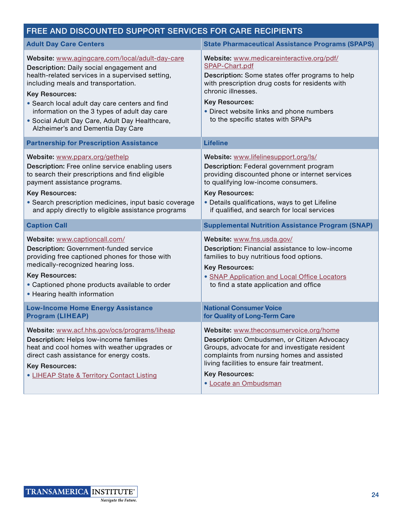| FREE AND DISCOUNTED SUPPORT SERVICES FOR CARE RECIPIENTS                                                                                                                                                                                                                                                                                                                                                 |                                                                                                                                                                                                                                                                                                     |  |
|----------------------------------------------------------------------------------------------------------------------------------------------------------------------------------------------------------------------------------------------------------------------------------------------------------------------------------------------------------------------------------------------------------|-----------------------------------------------------------------------------------------------------------------------------------------------------------------------------------------------------------------------------------------------------------------------------------------------------|--|
| <b>Adult Day Care Centers</b>                                                                                                                                                                                                                                                                                                                                                                            | <b>State Pharmaceutical Assistance Programs (SPAPS)</b>                                                                                                                                                                                                                                             |  |
| Website: www.agingcare.com/local/adult-day-care<br>Description: Daily social engagement and<br>health-related services in a supervised setting,<br>including meals and transportation.<br><b>Key Resources:</b><br>• Search local adult day care centers and find<br>information on the 3 types of adult day care<br>· Social Adult Day Care, Adult Day Healthcare,<br>Alzheimer's and Dementia Day Care | Website: www.medicareinteractive.org/pdf/<br>SPAP-Chart.pdf<br>Description: Some states offer programs to help<br>with prescription drug costs for residents with<br>chronic illnesses.<br><b>Key Resources:</b><br>• Direct website links and phone numbers<br>to the specific states with SPAPs   |  |
| <b>Partnership for Prescription Assistance</b>                                                                                                                                                                                                                                                                                                                                                           | <b>Lifeline</b>                                                                                                                                                                                                                                                                                     |  |
| Website: www.pparx.org/gethelp<br>Description: Free online service enabling users<br>to search their prescriptions and find eligible<br>payment assistance programs.<br><b>Key Resources:</b><br>• Search prescription medicines, input basic coverage<br>and apply directly to eligible assistance programs                                                                                             | Website: www.lifelinesupport.org/ls/<br>Description: Federal government program<br>providing discounted phone or internet services<br>to qualifying low-income consumers.<br><b>Key Resources:</b><br>· Details qualifications, ways to get Lifeline<br>if qualified, and search for local services |  |
| <b>Caption Call</b>                                                                                                                                                                                                                                                                                                                                                                                      | <b>Supplemental Nutrition Assistance Program (SNAP)</b>                                                                                                                                                                                                                                             |  |
| Website: www.captioncall.com/<br>Description: Government-funded service<br>providing free captioned phones for those with<br>medically-recognized hearing loss.<br><b>Key Resources:</b><br>• Captioned phone products available to order<br>• Hearing health information                                                                                                                                | Website: www.fns.usda.gov/<br>Description: Financial assistance to low-income<br>families to buy nutritious food options.<br><b>Key Resources:</b><br>· SNAP Application and Local Office Locators<br>to find a state application and office                                                        |  |
| <b>Low-Income Home Energy Assistance</b><br><b>Program (LIHEAP)</b>                                                                                                                                                                                                                                                                                                                                      | <b>National Consumer Voice</b><br>for Quality of Long-Term Care                                                                                                                                                                                                                                     |  |
| Website: www.acf.hhs.gov/ocs/programs/liheap<br>Description: Helps low-income families<br>heat and cool homes with weather upgrades or<br>direct cash assistance for energy costs.<br><b>Key Resources:</b><br>• LIHEAP State & Territory Contact Listing                                                                                                                                                | Website: www.theconsumervoice.org/home<br>Description: Ombudsmen, or Citizen Advocacy<br>Groups, advocate for and investigate resident<br>complaints from nursing homes and assisted<br>living facilities to ensure fair treatment.<br><b>Key Resources:</b><br>• Locate an Ombudsman               |  |

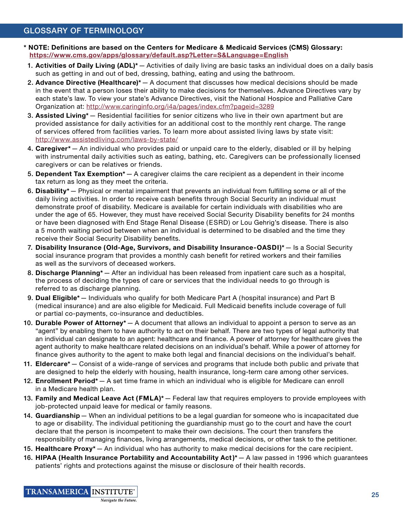- \* NOTE: Definitions are based on the Centers for Medicare & Medicaid Services (CMS) Glossary: <https://www.cms.gov/apps/glossary/default.asp?Letter=S&Language=English>
- 1. Activities of Daily Living (ADL)\* Activities of daily living are basic tasks an individual does on a daily basis such as getting in and out of bed, dressing, bathing, eating and using the bathroom.
- 2. Advance Directive (Healthcare) $* A$  document that discusses how medical decisions should be made in the event that a person loses their ability to make decisions for themselves. Advance Directives vary by each state's law. To view your state's Advance Directives, visit the National Hospice and Palliative Care Organization at:<http://www.caringinfo.org/i4a/pages/index.cfm?pageid=3289>
- 3. Assisted Living\* Residential facilities for senior citizens who live in their own apartment but are provided assistance for daily activities for an additional cost to the monthly rent charge. The range of services offered from facilities varies. To learn more about assisted living laws by state visit: <http://www.assistedliving.com/laws-by-state/>
- 4. Caregiver\* An individual who provides paid or unpaid care to the elderly, disabled or ill by helping with instrumental daily activities such as eating, bathing, etc. Caregivers can be professionally licensed caregivers or can be relatives or friends.
- 5. Dependent Tax Exemption<sup>\*</sup> A caregiver claims the care recipient as a dependent in their income tax return as long as they meet the criteria.
- 6. Disability\* Physical or mental impairment that prevents an individual from fulfilling some or all of the daily living activities. In order to receive cash benefits through Social Security an individual must demonstrate proof of disability. Medicare is available for certain individuals with disabilities who are under the age of 65. However, they must have received Social Security Disability benefits for 24 months or have been diagnosed with End Stage Renal Disease ( ESRD) or Lou Gehrig's disease. There is also a 5 month waiting period between when an individual is determined to be disabled and the time they receive their Social Security Disability benefits.
- 7. Disability Insurance (Old-Age, Survivors, and Disability Insurance-OASDI)\* Is a Social Security social insurance program that provides a monthly cash benefit for retired workers and their families as well as the survivors of deceased workers.
- 8. Discharge Planning\* After an individual has been released from inpatient care such as a hospital, the process of deciding the types of care or services that the individual needs to go through is referred to as discharge planning.
- 9. Dual Eligible<sup>\*</sup> Individuals who qualify for both Medicare Part A (hospital insurance) and Part B (medical insurance) and are also eligible for Medicaid. Full Medicaid benefits include coverage of full or partial co-payments, co-insurance and deductibles.
- 10. Durable Power of Attorney\* A document that allows an individual to appoint a person to serve as an "agent" by enabling them to have authority to act on their behalf. There are two types of legal authority that an individual can designate to an agent: healthcare and finance. A power of attorney for healthcare gives the agent authority to make healthcare related decisions on an individual's behalf. While a power of attorney for finance gives authority to the agent to make both legal and financial decisions on the individual's behalf.
- 11. Eldercare<sup>\*</sup> Consist of a wide-range of services and programs that include both public and private that are designed to help the elderly with housing, health insurance, long-term care among other services.
- 12. Enrollment Period<sup>\*</sup> A set time frame in which an individual who is eligible for Medicare can enroll in a Medicare health plan.
- 13. Family and Medical Leave Act  $(FMLA)^*$  Federal law that requires employers to provide employees with job-protected unpaid leave for medical or family reasons.
- 14. Guardianship When an individual petitions to be a legal guardian for someone who is incapacitated due to age or disability. The individual petitioning the guardianship must go to the court and have the court declare that the person is incompetent to make their own decisions. The court then transfers the responsibility of managing finances, living arrangements, medical decisions, or other task to the petitioner.
- 15. Healthcare Proxy<sup>\*</sup> An individual who has authority to make medical decisions for the care recipient.
- 16. HIPAA (Health Insurance Portability and Accountability  $Act$ )\*  $-$  A law passed in 1996 which guarantees patients' rights and protections against the misuse or disclosure of their health records.

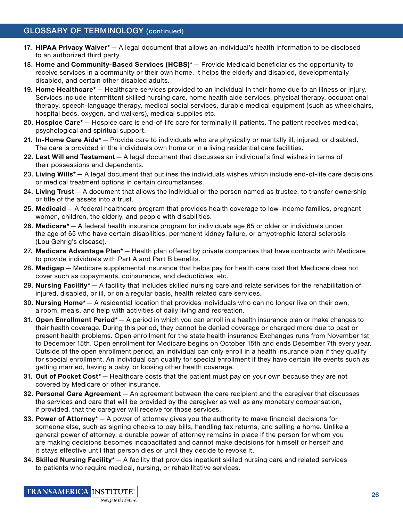## GLOSSARY OF TERMINOLOGY (continued)

- 17. HIPAA Privacy Waiver<sup>\*</sup> A legal document that allows an individual's health information to be disclosed to an authorized third party.
- 18. Home and Community-Based Services (HCBS)\* Provide Medicaid beneficiaries the opportunity to receive services in a community or their own home. It helps the elderly and disabled, developmentally disabled, and certain other disabled adults.
- 19. Home Healthcare<sup>\*</sup> Healthcare services provided to an individual in their home due to an illness or injury. Services include intermittent skilled nursing care, home health aide services, physical therapy, occupational therapy, speech-language therapy, medical social services, durable medical equipment (such as wheelchairs, hospital beds, oxygen, and walkers), medical supplies etc.
- 20. Hospice Care\* Hospice care is end-of-life care for terminally ill patients. The patient receives medical, psychological and spiritual support.
- 21. In-Home Care Aide<sup>\*</sup> Provide care to individuals who are physically or mentally ill, injured, or disabled. The care is provided in the individuals own home or in a living residential care facilities.
- 22. Last Will and Testament A legal document that discusses an individual's final wishes in terms of their possessions and dependents.
- 23. Living Wills<sup>\*</sup> A legal document that outlines the individuals wishes which include end-of-life care decisions or medical treatment options in certain circumstances.
- 24. Living Trust A document that allows the individual or the person named as trustee, to transfer ownership or title of the assets into a trust.
- 25. Medicaid A federal healthcare program that provides health coverage to low-income families, pregnant women, children, the elderly, and people with disabilities.
- 26. Medicare\* A federal health insurance program for individuals age 65 or older or individuals under the age of 65 who have certain disabilities, permanent kidney failure, or amyotrophic lateral sclerosis (Lou Gehrig's disease).
- 27. Medicare Advantage Plan<sup>\*</sup> Health plan offered by private companies that have contracts with Medicare to provide individuals with Part A and Part B benefits.
- 28. Medigap Medicare supplemental insurance that helps pay for health care cost that Medicare does not cover such as copayments, coinsurance, and deductibles, etc.
- 29. Nursing Facility<sup>\*</sup> A facility that includes skilled nursing care and relate services for the rehabilitation of injured, disabled, or ill, or on a regular basis, health related care services.
- 30. Nursing Home\* A residential location that provides individuals who can no longer live on their own, a room, meals, and help with activities of daily living and recreation.
- 31. Open Enrollment Period<sup>\*</sup>  $-$  A period in which you can enroll in a health insurance plan or make changes to their health coverage. During this period, they cannot be denied coverage or charged more due to past or present health problems. Open enrollment for the state health insurance Exchanges runs from November 1st to December 15th. Open enrollment for Medicare begins on October 15th and ends December 7th every year. Outside of the open enrollment period, an individual can only enroll in a health insurance plan if they qualify for special enrollment. An individual can qualify for special enrollment if they have certain life events such as getting married, having a baby, or loosing other health coverage.
- 31. Out of Pocket Cost<sup>\*</sup> Healthcare costs that the patient must pay on your own because they are not covered by Medicare or other insurance.
- 32. Personal Care Agreement An agreement between the care recipient and the caregiver that discusses the services and care that will be provided by the caregiver as well as any monetary compensation, if provided, that the caregiver will receive for those services.
- 33. Power of Attorney<sup>\*</sup> A power of attorney gives you the authority to make financial decisions for someone else, such as signing checks to pay bills, handling tax returns, and selling a home. Unlike a general power of attorney, a durable power of attorney remains in place if the person for whom you are making decisions becomes incapacitated and cannot make decisions for himself or herself and it stays effective until that person dies or until they decide to revoke it.
- 34. Skilled Nursing Facility<sup>\*</sup> A facility that provides inpatient skilled nursing care and related services to patients who require medical, nursing, or rehabilitative services.